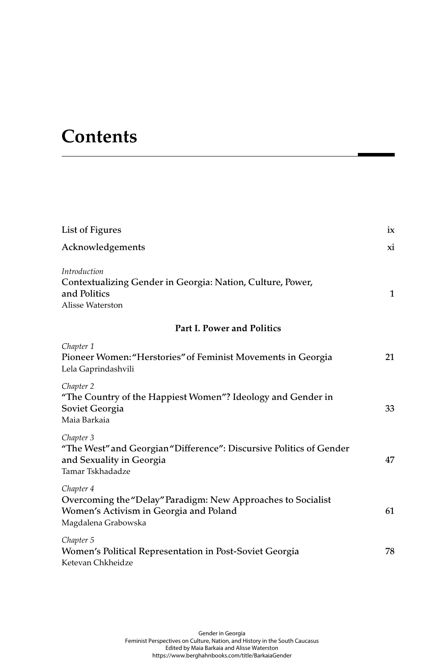## **Contents**

| List of Figures                                                                                                                            | ix           |
|--------------------------------------------------------------------------------------------------------------------------------------------|--------------|
| Acknowledgements                                                                                                                           | xi           |
| Introduction<br>Contextualizing Gender in Georgia: Nation, Culture, Power,<br>and Politics<br>Alisse Waterston                             | $\mathbf{1}$ |
| <b>Part I. Power and Politics</b>                                                                                                          |              |
| Chapter 1<br>Pioneer Women: "Herstories" of Feminist Movements in Georgia<br>Lela Gaprindashvili                                           | 21           |
| Chapter 2<br>"The Country of the Happiest Women"? Ideology and Gender in<br>Soviet Georgia<br>Maia Barkaia                                 | 33           |
| Chapter 3<br>"The West" and Georgian "Difference": Discursive Politics of Gender<br>and Sexuality in Georgia<br>Tamar Tskhadadze           | 47           |
| Chapter 4<br>Overcoming the "Delay" Paradigm: New Approaches to Socialist<br>Women's Activism in Georgia and Poland<br>Magdalena Grabowska | 61           |
| Chapter 5<br>Women's Political Representation in Post-Soviet Georgia<br>Ketevan Chkheidze                                                  | 78           |